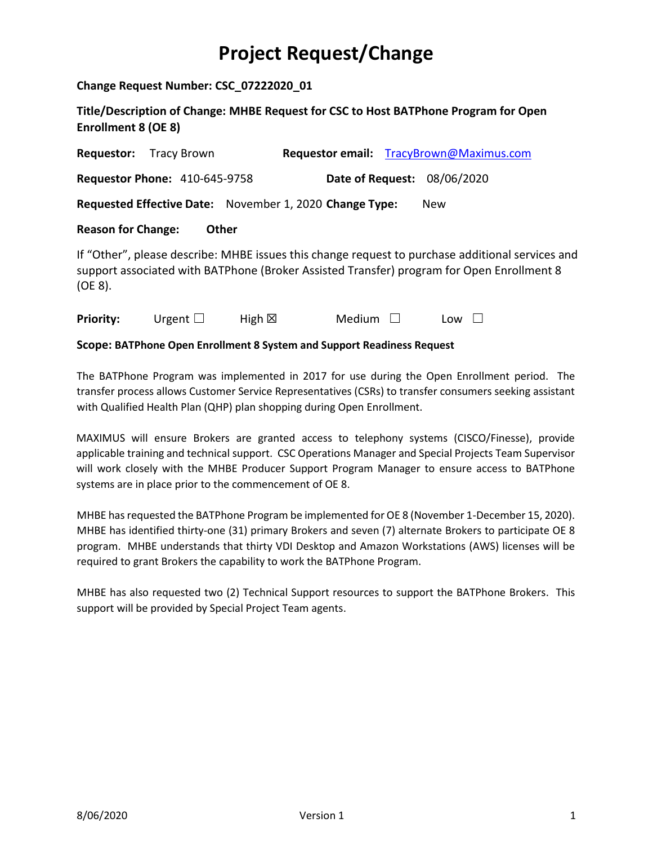## **Project Request/Change**

**Change Request Number: CSC\_07222020\_01**

**Title/Description of Change: MHBE Request for CSC to Host BATPhone Program for Open Enrollment 8 (OE 8)**

| <b>Requestor:</b>                                                                                                                                                                                        | Tracy Brown                                             |                  |        |  | Requestor email: TracyBrown@Maximus.com |  |  |  |
|----------------------------------------------------------------------------------------------------------------------------------------------------------------------------------------------------------|---------------------------------------------------------|------------------|--------|--|-----------------------------------------|--|--|--|
|                                                                                                                                                                                                          | <b>Requestor Phone: 410-645-9758</b>                    |                  |        |  | Date of Request: 08/06/2020             |  |  |  |
|                                                                                                                                                                                                          | Requested Effective Date: November 1, 2020 Change Type: |                  |        |  | New                                     |  |  |  |
| <b>Reason for Change:</b><br>Other                                                                                                                                                                       |                                                         |                  |        |  |                                         |  |  |  |
| If "Other", please describe: MHBE issues this change request to purchase additional services and<br>support associated with BATPhone (Broker Assisted Transfer) program for Open Enrollment 8<br>(OE 8). |                                                         |                  |        |  |                                         |  |  |  |
| <b>Priority:</b>                                                                                                                                                                                         | Urgent $\Box$                                           | High $\boxtimes$ | Medium |  | Low<br>L                                |  |  |  |

**Scope: BATPhone Open Enrollment 8 System and Support Readiness Request**

The BATPhone Program was implemented in 2017 for use during the Open Enrollment period. The transfer process allows Customer Service Representatives (CSRs) to transfer consumers seeking assistant with Qualified Health Plan (QHP) plan shopping during Open Enrollment.

MAXIMUS will ensure Brokers are granted access to telephony systems (CISCO/Finesse), provide applicable training and technical support. CSC Operations Manager and Special Projects Team Supervisor will work closely with the MHBE Producer Support Program Manager to ensure access to BATPhone systems are in place prior to the commencement of OE 8.

MHBE has requested the BATPhone Program be implemented for OE 8 (November 1-December 15, 2020). MHBE has identified thirty-one (31) primary Brokers and seven (7) alternate Brokers to participate OE 8 program. MHBE understands that thirty VDI Desktop and Amazon Workstations (AWS) licenses will be required to grant Brokers the capability to work the BATPhone Program.

MHBE has also requested two (2) Technical Support resources to support the BATPhone Brokers. This support will be provided by Special Project Team agents.